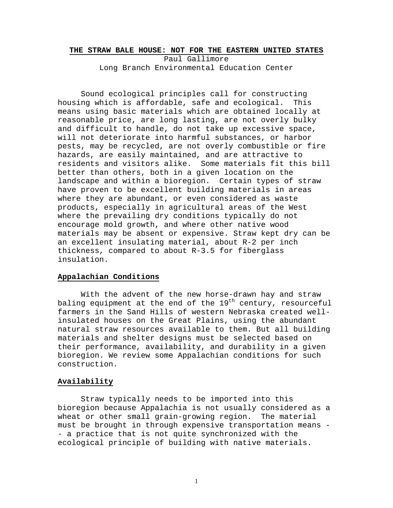#### **THE STRAW BALE HOUSE: NOT FOR THE EASTERN UNITED STATES**

Paul Gallimore Long Branch Environmental Education Center

Sound ecological principles call for constructing housing which is affordable, safe and ecological. This means using basic materials which are obtained locally at reasonable price, are long lasting, are not overly bulky and difficult to handle, do not take up excessive space, will not deteriorate into harmful substances, or harbor pests, may be recycled, are not overly combustible or fire hazards, are easily maintained, and are attractive to residents and visitors alike. Some materials fit this bill better than others, both in a given location on the landscape and within a bioregion. Certain types of straw have proven to be excellent building materials in areas where they are abundant, or even considered as waste products, especially in agricultural areas of the West where the prevailing dry conditions typically do not encourage mold growth, and where other native wood materials may be absent or expensive. Straw kept dry can be an excellent insulating material, about R-2 per inch thickness, compared to about R-3.5 for fiberglass insulation.

### **Appalachian Conditions**

With the advent of the new horse-drawn hay and straw baling equipment at the end of the  $19^{th}$  century, resourceful farmers in the Sand Hills of western Nebraska created wellinsulated houses on the Great Plains, using the abundant natural straw resources available to them. But all building materials and shelter designs must be selected based on their performance, availability, and durability in a given bioregion. We review some Appalachian conditions for such construction.

### **Availability**

 Straw typically needs to be imported into this bioregion because Appalachia is not usually considered as a wheat or other small grain-growing region. The material must be brought in through expensive transportation means - - a practice that is not quite synchronized with the ecological principle of building with native materials.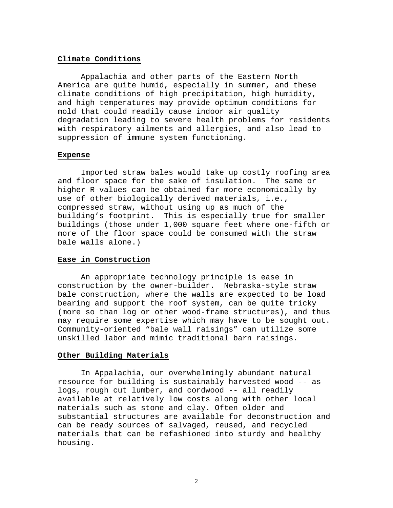### **Climate Conditions**

Appalachia and other parts of the Eastern North America are quite humid, especially in summer, and these climate conditions of high precipitation, high humidity, and high temperatures may provide optimum conditions for mold that could readily cause indoor air quality degradation leading to severe health problems for residents with respiratory ailments and allergies, and also lead to suppression of immune system functioning.

### **Expense**

Imported straw bales would take up costly roofing area and floor space for the sake of insulation. The same or higher R-values can be obtained far more economically by use of other biologically derived materials, i.e., compressed straw, without using up as much of the building's footprint. This is especially true for smaller buildings (those under 1,000 square feet where one-fifth or more of the floor space could be consumed with the straw bale walls alone.)

## **Ease in Construction**

 An appropriate technology principle is ease in construction by the owner-builder. Nebraska-style straw bale construction, where the walls are expected to be load bearing and support the roof system, can be quite tricky (more so than log or other wood-frame structures), and thus may require some expertise which may have to be sought out. Community-oriented "bale wall raisings" can utilize some unskilled labor and mimic traditional barn raisings.

### **Other Building Materials**

In Appalachia, our overwhelmingly abundant natural resource for building is sustainably harvested wood -- as logs, rough cut lumber, and cordwood -- all readily available at relatively low costs along with other local materials such as stone and clay. Often older and substantial structures are available for deconstruction and can be ready sources of salvaged, reused, and recycled materials that can be refashioned into sturdy and healthy housing.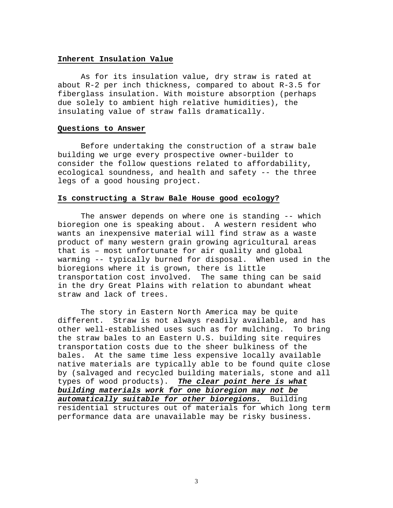### **Inherent Insulation Value**

As for its insulation value, dry straw is rated at about R-2 per inch thickness, compared to about R-3.5 for fiberglass insulation. With moisture absorption (perhaps due solely to ambient high relative humidities), the insulating value of straw falls dramatically.

#### **Questions to Answer**

Before undertaking the construction of a straw bale building we urge every prospective owner-builder to consider the follow questions related to affordability, ecological soundness, and health and safety -- the three legs of a good housing project.

### **Is constructing a Straw Bale House good ecology?**

The answer depends on where one is standing -- which bioregion one is speaking about. A western resident who wants an inexpensive material will find straw as a waste product of many western grain growing agricultural areas that is – most unfortunate for air quality and global warming -- typically burned for disposal. When used in the bioregions where it is grown, there is little transportation cost involved. The same thing can be said in the dry Great Plains with relation to abundant wheat straw and lack of trees.

The story in Eastern North America may be quite different. Straw is not always readily available, and has other well-established uses such as for mulching. To bring the straw bales to an Eastern U.S. building site requires transportation costs due to the sheer bulkiness of the bales. At the same time less expensive locally available native materials are typically able to be found quite close by (salvaged and recycled building materials, stone and all types of wood products). *The clear point here is what building materials work for one bioregion may not be automatically suitable for other bioregions.* Building residential structures out of materials for which long term performance data are unavailable may be risky business.

3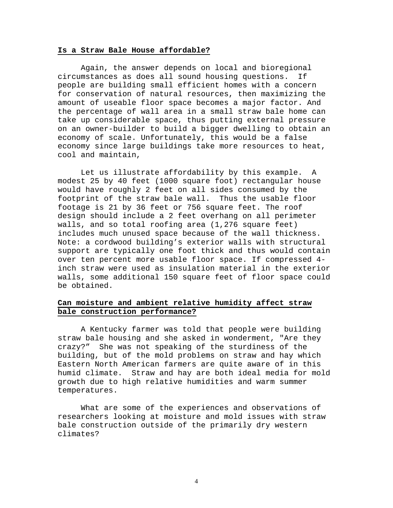## **Is a Straw Bale House affordable?**

Again, the answer depends on local and bioregional circumstances as does all sound housing questions. If people are building small efficient homes with a concern for conservation of natural resources, then maximizing the amount of useable floor space becomes a major factor. And the percentage of wall area in a small straw bale home can take up considerable space, thus putting external pressure on an owner-builder to build a bigger dwelling to obtain an economy of scale. Unfortunately, this would be a false economy since large buildings take more resources to heat, cool and maintain,

Let us illustrate affordability by this example. A modest 25 by 40 feet (1000 square foot) rectangular house would have roughly 2 feet on all sides consumed by the footprint of the straw bale wall. Thus the usable floor footage is 21 by 36 feet or 756 square feet. The roof design should include a 2 feet overhang on all perimeter walls, and so total roofing area (1,276 square feet) includes much unused space because of the wall thickness. Note: a cordwood building's exterior walls with structural support are typically one foot thick and thus would contain over ten percent more usable floor space. If compressed 4 inch straw were used as insulation material in the exterior walls, some additional 150 square feet of floor space could be obtained.

## **Can moisture and ambient relative humidity affect straw bale construction performance?**

A Kentucky farmer was told that people were building straw bale housing and she asked in wonderment, "Are they crazy?" She was not speaking of the sturdiness of the building, but of the mold problems on straw and hay which Eastern North American farmers are quite aware of in this humid climate. Straw and hay are both ideal media for mold growth due to high relative humidities and warm summer temperatures.

What are some of the experiences and observations of researchers looking at moisture and mold issues with straw bale construction outside of the primarily dry western climates?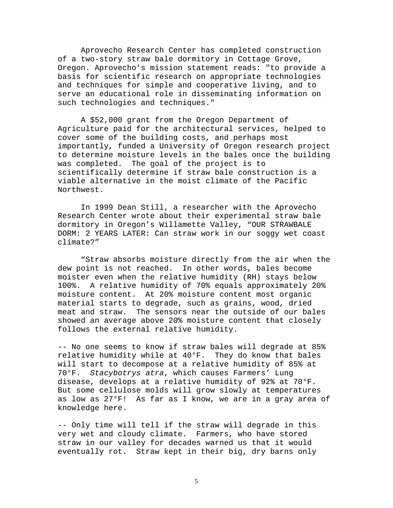Aprovecho Research Center has completed construction of a two-story straw bale dormitory in Cottage Grove, Oregon. Aprovecho's mission statement reads: "to provide a basis for scientific research on appropriate technologies and techniques for simple and cooperative living, and to serve an educational role in disseminating information on such technologies and techniques."

A \$52,000 grant from the Oregon Department of Agriculture paid for the architectural services, helped to cover some of the building costs, and perhaps most importantly, funded a University of Oregon research project to determine moisture levels in the bales once the building was completed. The goal of the project is to scientifically determine if straw bale construction is a viable alternative in the moist climate of the Pacific Northwest.

In 1999 Dean Still, a researcher with the Aprovecho Research Center wrote about their experimental straw bale dormitory in Oregon's Willamette Valley, "OUR STRAWBALE DORM: 2 YEARS LATER: Can straw work in our soggy wet coast climate?"

"Straw absorbs moisture directly from the air when the dew point is not reached. In other words, bales become moister even when the relative humidity (RH) stays below 100%. A relative humidity of 70% equals approximately 20% moisture content. At 20% moisture content most organic material starts to degrade, such as grains, wood, dried meat and straw. The sensors near the outside of our bales showed an average above 20% moisture content that closely follows the external relative humidity.

-- No one seems to know if straw bales will degrade at 85% relative humidity while at 40°F. They do know that bales will start to decompose at a relative humidity of 85% at 70°F. *Stacybotrys atra*, which causes Farmers' Lung disease, develops at a relative humidity of 92% at 70°F. But some cellulose molds will grow slowly at temperatures as low as 27°F! As far as I know, we are in a gray area of knowledge here.

-- Only time will tell if the straw will degrade in this very wet and cloudy climate. Farmers, who have stored straw in our valley for decades warned us that it would eventually rot. Straw kept in their big, dry barns only

5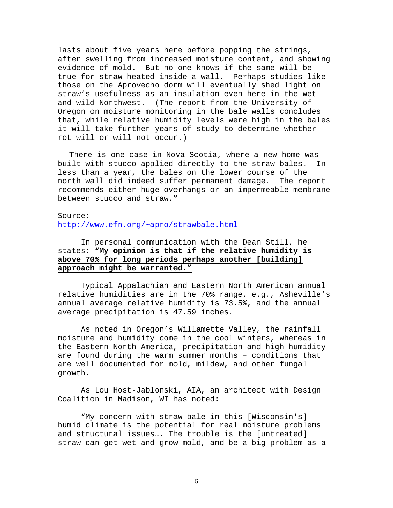lasts about five years here before popping the strings, after swelling from increased moisture content, and showing evidence of mold. But no one knows if the same will be true for straw heated inside a wall. Perhaps studies like those on the Aprovecho dorm will eventually shed light on straw's usefulness as an insulation even here in the wet and wild Northwest. (The report from the University of Oregon on moisture monitoring in the bale walls concludes that, while relative humidity levels were high in the bales it will take further years of study to determine whether rot will or will not occur.)

There is one case in Nova Scotia, where a new home was built with stucco applied directly to the straw bales. In less than a year, the bales on the lower course of the north wall did indeed suffer permanent damage. The report recommends either huge overhangs or an impermeable membrane between stucco and straw."

### Source:

<http://www.efn.org/~apro/strawbale.html>

## In personal communication with the Dean Still, he states: **"My opinion is that if the relative humidity is above 70% for long periods perhaps another [building] approach might be warranted."**

Typical Appalachian and Eastern North American annual relative humidities are in the 70% range, e.g., Asheville's annual average relative humidity is 73.5%, and the annual average precipitation is 47.59 inches.

As noted in Oregon's Willamette Valley, the rainfall moisture and humidity come in the cool winters, whereas in the Eastern North America, precipitation and high humidity are found during the warm summer months – conditions that are well documented for mold, mildew, and other fungal growth.

As Lou Host-Jablonski, AIA, an architect with Design Coalition in Madison, WI has noted:

"My concern with straw bale in this [Wisconsin's] humid climate is the potential for real moisture problems and structural issues…. The trouble is the [untreated] straw can get wet and grow mold, and be a big problem as a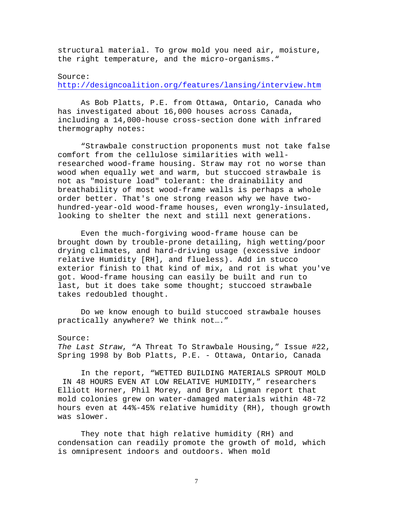structural material. To grow mold you need air, moisture, the right temperature, and the micro-organisms."

## Source: <http://designcoalition.org/features/lansing/interview.htm>

As Bob Platts, P.E. from Ottawa, Ontario, Canada who has investigated about 16,000 houses across Canada, including a 14,000-house cross-section done with infrared thermography notes:

"Strawbale construction proponents must not take false comfort from the cellulose similarities with wellresearched wood-frame housing. Straw may rot no worse than wood when equally wet and warm, but stuccoed strawbale is not as "moisture load" tolerant: the drainability and breathability of most wood-frame walls is perhaps a whole order better. That's one strong reason why we have twohundred-year-old wood-frame houses, even wrongly-insulated, looking to shelter the next and still next generations.

Even the much-forgiving wood-frame house can be brought down by trouble-prone detailing, high wetting/poor drying climates, and hard-driving usage (excessive indoor relative Humidity [RH], and flueless). Add in stucco exterior finish to that kind of mix, and rot is what you've got. Wood-frame housing can easily be built and run to last, but it does take some thought; stuccoed strawbale takes redoubled thought.

Do we know enough to build stuccoed strawbale houses practically anywhere? We think not…."

## Source:

*The Last Straw*, "A Threat To Strawbale Housing," Issue #22, Spring 1998 by Bob Platts, P.E. - Ottawa, Ontario, Canada

In the report, "WETTED BUILDING MATERIALS SPROUT MOLD IN 48 HOURS EVEN AT LOW RELATIVE HUMIDITY," researchers Elliott Horner, Phil Morey, and Bryan Ligman report that mold colonies grew on water-damaged materials within 48-72 hours even at 44%-45% relative humidity (RH), though growth was slower.

They note that high relative humidity (RH) and condensation can readily promote the growth of mold, which is omnipresent indoors and outdoors. When mold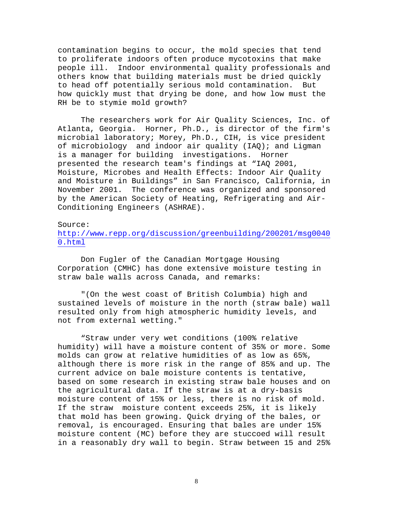contamination begins to occur, the mold species that tend to proliferate indoors often produce mycotoxins that make people ill. Indoor environmental quality professionals and others know that building materials must be dried quickly to head off potentially serious mold contamination. But how quickly must that drying be done, and how low must the RH be to stymie mold growth?

The researchers work for Air Quality Sciences, Inc. of Atlanta, Georgia. Horner, Ph.D., is director of the firm's microbial laboratory; Morey, Ph.D., CIH, is vice president of microbiology and indoor air quality (IAQ); and Ligman is a manager for building investigations. Horner presented the research team's findings at "IAQ 2001, Moisture, Microbes and Health Effects: Indoor Air Quality and Moisture in Buildings" in San Francisco, California, in November 2001. The conference was organized and sponsored by the American Society of Heating, Refrigerating and Air-Conditioning Engineers (ASHRAE).

## Source: [http://www.repp.org/discussion/greenbuilding/200201/msg0040](http://www.repp.org/discussion/greenbuilding/200201/msg00400.html) [0.html](http://www.repp.org/discussion/greenbuilding/200201/msg00400.html)

Don Fugler of the Canadian Mortgage Housing Corporation (CMHC) has done extensive moisture testing in straw bale walls across Canada, and remarks:

"(On the west coast of British Columbia) high and sustained levels of moisture in the north (straw bale) wall resulted only from high atmospheric humidity levels, and not from external wetting."

"Straw under very wet conditions (100% relative humidity) will have a moisture content of 35% or more. Some molds can grow at relative humidities of as low as 65%, although there is more risk in the range of 85% and up. The current advice on bale moisture contents is tentative, based on some research in existing straw bale houses and on the agricultural data. If the straw is at a dry-basis moisture content of 15% or less, there is no risk of mold. If the straw moisture content exceeds 25%, it is likely that mold has been growing. Quick drying of the bales, or removal, is encouraged. Ensuring that bales are under 15% moisture content (MC) before they are stuccoed will result in a reasonably dry wall to begin. Straw between 15 and 25%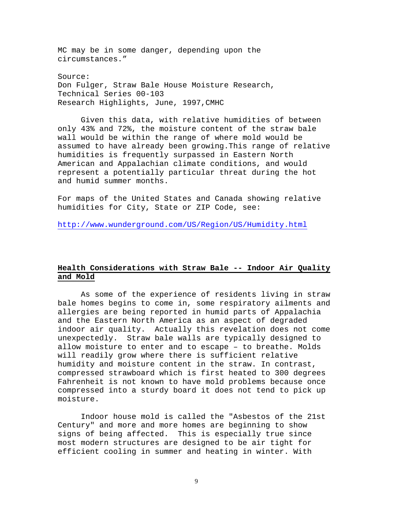MC may be in some danger, depending upon the circumstances."

Source: Don Fulger, Straw Bale House Moisture Research, Technical Series 00-103 Research Highlights, June, 1997,CMHC

Given this data, with relative humidities of between only 43% and 72%, the moisture content of the straw bale wall would be within the range of where mold would be assumed to have already been growing.This range of relative humidities is frequently surpassed in Eastern North American and Appalachian climate conditions, and would represent a potentially particular threat during the hot and humid summer months.

For maps of the United States and Canada showing relative humidities for City, State or ZIP Code, see:

<http://www.wunderground.com/US/Region/US/Humidity.html>

# **Health Considerations with Straw Bale -- Indoor Air Quality and Mold**

As some of the experience of residents living in straw bale homes begins to come in, some respiratory ailments and allergies are being reported in humid parts of Appalachia and the Eastern North America as an aspect of degraded indoor air quality. Actually this revelation does not come unexpectedly. Straw bale walls are typically designed to allow moisture to enter and to escape – to breathe. Molds will readily grow where there is sufficient relative humidity and moisture content in the straw. In contrast, compressed strawboard which is first heated to 300 degrees Fahrenheit is not known to have mold problems because once compressed into a sturdy board it does not tend to pick up moisture.

Indoor house mold is called the "Asbestos of the 21st Century" and more and more homes are beginning to show signs of being affected. This is especially true since most modern structures are designed to be air tight for efficient cooling in summer and heating in winter. With

9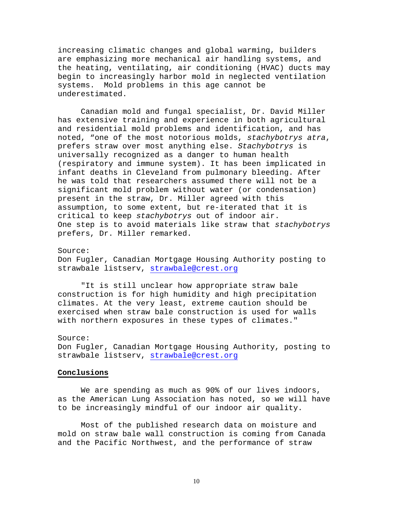increasing climatic changes and global warming, builders are emphasizing more mechanical air handling systems, and the heating, ventilating, air conditioning (HVAC) ducts may begin to increasingly harbor mold in neglected ventilation systems. Mold problems in this age cannot be underestimated.

Canadian mold and fungal specialist, Dr. David Miller has extensive training and experience in both agricultural and residential mold problems and identification, and has noted, "one of the most notorious molds, *stachybotrys atra*, prefers straw over most anything else. *Stachybotrys* is universally recognized as a danger to human health (respiratory and immune system). It has been implicated in infant deaths in Cleveland from pulmonary bleeding. After he was told that researchers assumed there will not be a significant mold problem without water (or condensation) present in the straw, Dr. Miller agreed with this assumption, to some extent, but re-iterated that it is critical to keep *stachybotrys* out of indoor air. One step is to avoid materials like straw that *stachybotrys* prefers, Dr. Miller remarked.

### Source:

Don Fugler, Canadian Mortgage Housing Authority posting to strawbale listserv, [strawbale@crest.org](mailto:strawbale@crest.org)

"It is still unclear how appropriate straw bale construction is for high humidity and high precipitation climates. At the very least, extreme caution should be exercised when straw bale construction is used for walls with northern exposures in these types of climates."

### Source:

Don Fugler, Canadian Mortgage Housing Authority, posting to strawbale listserv, [strawbale@crest.org](mailto:strawbale@crest.org)

#### **Conclusions**

We are spending as much as 90% of our lives indoors, as the American Lung Association has noted, so we will have to be increasingly mindful of our indoor air quality.

Most of the published research data on moisture and mold on straw bale wall construction is coming from Canada and the Pacific Northwest, and the performance of straw